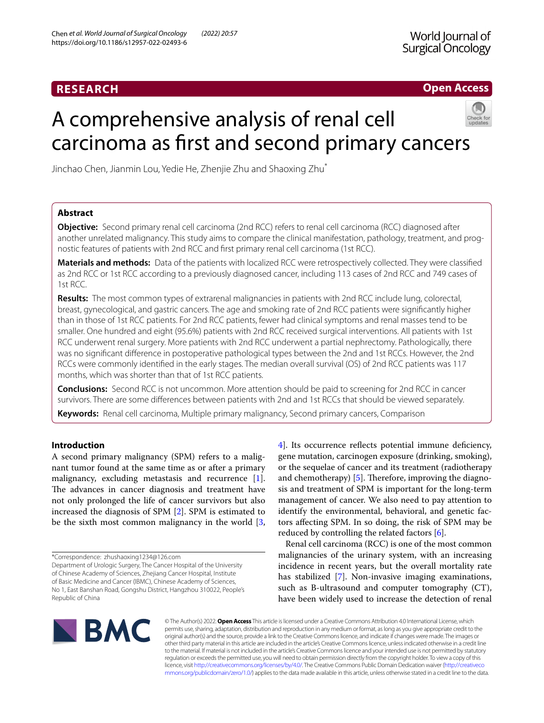# **RESEARCH**

## **Open Access**

# A comprehensive analysis of renal cell carcinoma as frst and second primary cancers



Jinchao Chen, Jianmin Lou, Yedie He, Zhenjie Zhu and Shaoxing Zhu\*

## **Abstract**

**Objective:** Second primary renal cell carcinoma (2nd RCC) refers to renal cell carcinoma (RCC) diagnosed after another unrelated malignancy. This study aims to compare the clinical manifestation, pathology, treatment, and prognostic features of patients with 2nd RCC and frst primary renal cell carcinoma (1st RCC).

**Materials and methods:** Data of the patients with localized RCC were retrospectively collected. They were classifed as 2nd RCC or 1st RCC according to a previously diagnosed cancer, including 113 cases of 2nd RCC and 749 cases of 1st RCC.

**Results:** The most common types of extrarenal malignancies in patients with 2nd RCC include lung, colorectal, breast, gynecological, and gastric cancers. The age and smoking rate of 2nd RCC patients were signifcantly higher than in those of 1st RCC patients. For 2nd RCC patients, fewer had clinical symptoms and renal masses tend to be smaller. One hundred and eight (95.6%) patients with 2nd RCC received surgical interventions. All patients with 1st RCC underwent renal surgery. More patients with 2nd RCC underwent a partial nephrectomy. Pathologically, there was no signifcant diference in postoperative pathological types between the 2nd and 1st RCCs. However, the 2nd RCCs were commonly identifed in the early stages. The median overall survival (OS) of 2nd RCC patients was 117 months, which was shorter than that of 1st RCC patients.

**Conclusions:** Second RCC is not uncommon. More attention should be paid to screening for 2nd RCC in cancer survivors. There are some diferences between patients with 2nd and 1st RCCs that should be viewed separately.

**Keywords:** Renal cell carcinoma, Multiple primary malignancy, Second primary cancers, Comparison

## **Introduction**

A second primary malignancy (SPM) refers to a malignant tumor found at the same time as or after a primary malignancy, excluding metastasis and recurrence [\[1](#page-6-0)]. The advances in cancer diagnosis and treatment have not only prolonged the life of cancer survivors but also increased the diagnosis of SPM [\[2](#page-6-1)]. SPM is estimated to be the sixth most common malignancy in the world [\[3](#page-6-2), [4\]](#page-6-3). Its occurrence refects potential immune defciency, gene mutation, carcinogen exposure (drinking, smoking), or the sequelae of cancer and its treatment (radiotherapy and chemotherapy)  $[5]$  $[5]$ . Therefore, improving the diagnosis and treatment of SPM is important for the long-term management of cancer. We also need to pay attention to identify the environmental, behavioral, and genetic factors afecting SPM. In so doing, the risk of SPM may be reduced by controlling the related factors [\[6](#page-6-5)].

Renal cell carcinoma (RCC) is one of the most common malignancies of the urinary system, with an increasing incidence in recent years, but the overall mortality rate has stabilized [[7\]](#page-6-6). Non-invasive imaging examinations, such as B-ultrasound and computer tomography (CT), have been widely used to increase the detection of renal



© The Author(s) 2022. **Open Access** This article is licensed under a Creative Commons Attribution 4.0 International License, which permits use, sharing, adaptation, distribution and reproduction in any medium or format, as long as you give appropriate credit to the original author(s) and the source, provide a link to the Creative Commons licence, and indicate if changes were made. The images or other third party material in this article are included in the article's Creative Commons licence, unless indicated otherwise in a credit line to the material. If material is not included in the article's Creative Commons licence and your intended use is not permitted by statutory regulation or exceeds the permitted use, you will need to obtain permission directly from the copyright holder. To view a copy of this licence, visit [http://creativecommons.org/licenses/by/4.0/.](http://creativecommons.org/licenses/by/4.0/) The Creative Commons Public Domain Dedication waiver ([http://creativeco](http://creativecommons.org/publicdomain/zero/1.0/) [mmons.org/publicdomain/zero/1.0/](http://creativecommons.org/publicdomain/zero/1.0/)) applies to the data made available in this article, unless otherwise stated in a credit line to the data.

<sup>\*</sup>Correspondence: zhushaoxing1234@126.com

Department of Urologic Surgery, The Cancer Hospital of the University of Chinese Academy of Sciences, Zhejiang Cancer Hospital, Institute of Basic Medicine and Cancer (IBMC), Chinese Academy of Sciences, No 1, East Banshan Road, Gongshu District, Hangzhou 310022, People's Republic of China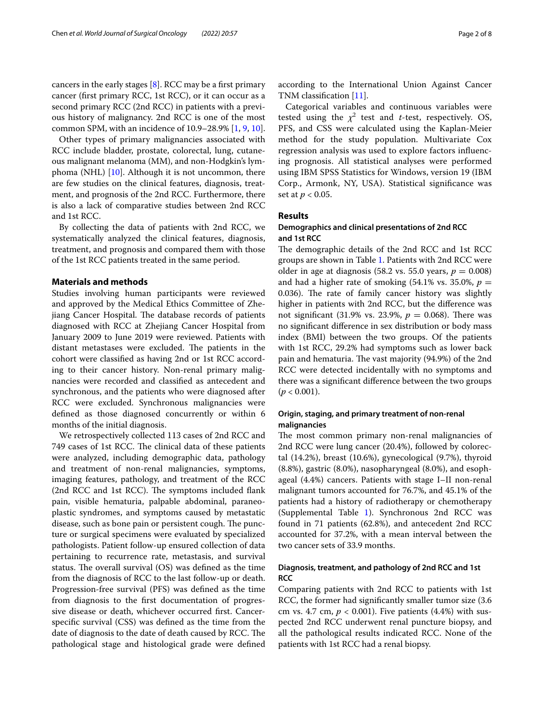cancers in the early stages  $[8]$ . RCC may be a first primary cancer (frst primary RCC, 1st RCC), or it can occur as a second primary RCC (2nd RCC) in patients with a previous history of malignancy. 2nd RCC is one of the most common SPM, with an incidence of 10.9–28.9% [\[1](#page-6-0), [9,](#page-6-8) [10](#page-6-9)].

Other types of primary malignancies associated with RCC include bladder, prostate, colorectal, lung, cutaneous malignant melanoma (MM), and non-Hodgkin's lymphoma (NHL)  $[10]$  $[10]$ . Although it is not uncommon, there are few studies on the clinical features, diagnosis, treatment, and prognosis of the 2nd RCC. Furthermore, there is also a lack of comparative studies between 2nd RCC and 1st RCC.

By collecting the data of patients with 2nd RCC, we systematically analyzed the clinical features, diagnosis, treatment, and prognosis and compared them with those of the 1st RCC patients treated in the same period.

## **Materials and methods**

Studies involving human participants were reviewed and approved by the Medical Ethics Committee of Zhejiang Cancer Hospital. The database records of patients diagnosed with RCC at Zhejiang Cancer Hospital from January 2009 to June 2019 were reviewed. Patients with distant metastases were excluded. The patients in the cohort were classifed as having 2nd or 1st RCC according to their cancer history. Non-renal primary malignancies were recorded and classifed as antecedent and synchronous, and the patients who were diagnosed after RCC were excluded. Synchronous malignancies were defned as those diagnosed concurrently or within 6 months of the initial diagnosis.

We retrospectively collected 113 cases of 2nd RCC and 749 cases of 1st RCC. The clinical data of these patients were analyzed, including demographic data, pathology and treatment of non-renal malignancies, symptoms, imaging features, pathology, and treatment of the RCC  $(2nd \t $RCC$  and 1st \t $RCC$ ). The symptoms included flank$ pain, visible hematuria, palpable abdominal, paraneoplastic syndromes, and symptoms caused by metastatic disease, such as bone pain or persistent cough. The puncture or surgical specimens were evaluated by specialized pathologists. Patient follow-up ensured collection of data pertaining to recurrence rate, metastasis, and survival status. The overall survival (OS) was defined as the time from the diagnosis of RCC to the last follow-up or death. Progression-free survival (PFS) was defned as the time from diagnosis to the frst documentation of progressive disease or death, whichever occurred frst. Cancerspecifc survival (CSS) was defned as the time from the date of diagnosis to the date of death caused by RCC. The pathological stage and histological grade were defned according to the International Union Against Cancer TNM classifcation [\[11](#page-7-0)].

Categorical variables and continuous variables were tested using the  $\chi^2$  test and *t*-test, respectively. OS, PFS, and CSS were calculated using the Kaplan-Meier method for the study population. Multivariate Cox regression analysis was used to explore factors infuencing prognosis. All statistical analyses were performed using IBM SPSS Statistics for Windows, version 19 (IBM Corp., Armonk, NY, USA). Statistical signifcance was set at *p* < 0.05.

#### **Results**

## **Demographics and clinical presentations of 2nd RCC and 1st RCC**

The demographic details of the 2nd RCC and 1st RCC groups are shown in Table [1](#page-2-0). Patients with 2nd RCC were older in age at diagnosis (58.2 vs. 55.0 years,  $p = 0.008$ ) and had a higher rate of smoking  $(54.1\% \text{ vs. } 35.0\%, p =$ 0.036). The rate of family cancer history was slightly higher in patients with 2nd RCC, but the diference was not significant (31.9% vs. 23.9%,  $p = 0.068$ ). There was no signifcant diference in sex distribution or body mass index (BMI) between the two groups. Of the patients with 1st RCC, 29.2% had symptoms such as lower back pain and hematuria. The vast majority (94.9%) of the 2nd RCC were detected incidentally with no symptoms and there was a signifcant diference between the two groups  $(p < 0.001)$ .

## **Origin, staging, and primary treatment of non‑renal malignancies**

The most common primary non-renal malignancies of 2nd RCC were lung cancer (20.4%), followed by colorectal (14.2%), breast (10.6%), gynecological (9.7%), thyroid (8.8%), gastric (8.0%), nasopharyngeal (8.0%), and esophageal (4.4%) cancers. Patients with stage I–II non-renal malignant tumors accounted for 76.7%, and 45.1% of the patients had a history of radiotherapy or chemotherapy (Supplemental Table [1\)](#page-6-10). Synchronous 2nd RCC was found in 71 patients (62.8%), and antecedent 2nd RCC accounted for 37.2%, with a mean interval between the two cancer sets of 33.9 months.

## **Diagnosis, treatment, and pathology of 2nd RCC and 1st RCC**

Comparing patients with 2nd RCC to patients with 1st RCC, the former had signifcantly smaller tumor size (3.6 cm vs. 4.7 cm,  $p < 0.001$ ). Five patients (4.4%) with suspected 2nd RCC underwent renal puncture biopsy, and all the pathological results indicated RCC. None of the patients with 1st RCC had a renal biopsy.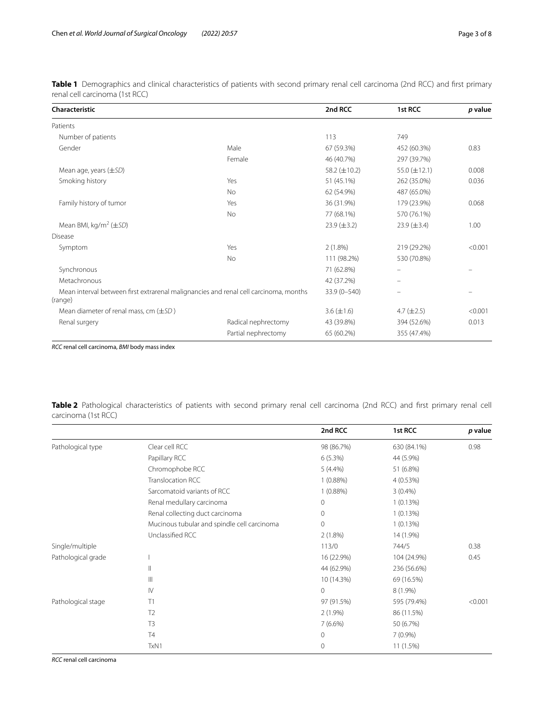<span id="page-2-0"></span>**Table 1** Demographics and clinical characteristics of patients with second primary renal cell carcinoma (2nd RCC) and frst primary renal cell carcinoma (1st RCC)

| Characteristic                                                                                  |                     | 2nd RCC            | 1st RCC            | p value |
|-------------------------------------------------------------------------------------------------|---------------------|--------------------|--------------------|---------|
| Patients                                                                                        |                     |                    |                    |         |
| Number of patients                                                                              |                     | 113                | 749                |         |
| Gender                                                                                          | Male                | 67 (59.3%)         | 452 (60.3%)        | 0.83    |
|                                                                                                 | Female              | 46 (40.7%)         | 297 (39.7%)        |         |
| Mean age, years $(\pm SD)$                                                                      |                     | 58.2 $(\pm 10.2)$  | 55.0 $(\pm 12.1)$  | 0.008   |
| Smoking history                                                                                 | Yes                 | 51 (45.1%)         | 262 (35.0%)        | 0.036   |
|                                                                                                 | <b>No</b>           | 62 (54.9%)         | 487 (65.0%)        |         |
| Family history of tumor                                                                         | Yes                 | 36 (31.9%)         | 179 (23.9%)        | 0.068   |
|                                                                                                 | No                  | 77 (68.1%)         | 570 (76.1%)        |         |
| Mean BMI, kg/m <sup>2</sup> ( $\pm$ SD)                                                         |                     | $23.9 \ (\pm 3.2)$ | $23.9 \ (\pm 3.4)$ | 1.00    |
| <b>Disease</b>                                                                                  |                     |                    |                    |         |
| Symptom                                                                                         | Yes                 | $2(1.8\%)$         | 219 (29.2%)        | < 0.001 |
|                                                                                                 | <b>No</b>           | 111 (98.2%)        | 530 (70.8%)        |         |
| Synchronous                                                                                     |                     | 71 (62.8%)         |                    |         |
| Metachronous                                                                                    |                     | 42 (37.2%)         |                    |         |
| Mean interval between first extrarenal malignancies and renal cell carcinoma, months<br>(range) |                     | 33.9 (0-540)       |                    |         |
| Mean diameter of renal mass, cm $(\pm SD)$                                                      |                     | $3.6 (\pm 1.6)$    | 4.7 $(\pm 2.5)$    | < 0.001 |
| Renal surgery                                                                                   | Radical nephrectomy | 43 (39.8%)         | 394 (52.6%)        | 0.013   |
|                                                                                                 | Partial nephrectomy | 65 (60.2%)         | 355 (47.4%)        |         |

*RCC* renal cell carcinoma, *BMI* body mass index

<span id="page-2-1"></span>**Table 2** Pathological characteristics of patients with second primary renal cell carcinoma (2nd RCC) and frst primary renal cell carcinoma (1st RCC)

|                    |                                             | 2nd RCC     | 1st RCC     | p value |
|--------------------|---------------------------------------------|-------------|-------------|---------|
| Pathological type  | Clear cell RCC                              | 98 (86.7%)  | 630 (84.1%) | 0.98    |
|                    | Papillary RCC                               | 6(5.3%)     | 44 (5.9%)   |         |
|                    | Chromophobe RCC                             | $5(4.4\%)$  | 51 (6.8%)   |         |
|                    | Translocation RCC                           | 1(0.88%)    | 4(0.53%)    |         |
|                    | Sarcomatoid variants of RCC                 | 1(0.88%)    | $3(0.4\%)$  |         |
|                    | Renal medullary carcinoma                   | 0           | 1(0.13%)    |         |
|                    | Renal collecting duct carcinoma             | 0           | 1(0.13%)    |         |
|                    | Mucinous tubular and spindle cell carcinoma | 0           | $1(0.13\%)$ |         |
|                    | Unclassified RCC                            | 2(1.8%)     | 14 (1.9%)   |         |
| Single/multiple    |                                             | 113/0       | 744/5       | 0.38    |
| Pathological grade |                                             | 16 (22.9%)  | 104 (24.9%) | 0.45    |
|                    | $\mathbf{  }$                               | 44 (62.9%)  | 236 (56.6%) |         |
|                    | $\mathbb{H}$                                | 10 (14.3%)  | 69 (16.5%)  |         |
|                    | $\mathsf{IV}$                               | 0           | $8(1.9\%)$  |         |
| Pathological stage | T1                                          | 97 (91.5%)  | 595 (79.4%) | < 0.001 |
|                    | T <sub>2</sub>                              | $2(1.9\%)$  | 86 (11.5%)  |         |
|                    | T <sub>3</sub>                              | $7(6.6\%)$  | 50 (6.7%)   |         |
|                    | <b>T4</b>                                   | $\mathbf 0$ | $7(0.9\%)$  |         |
|                    | TxN1                                        | 0           | 11 (1.5%)   |         |

*RCC* renal cell carcinoma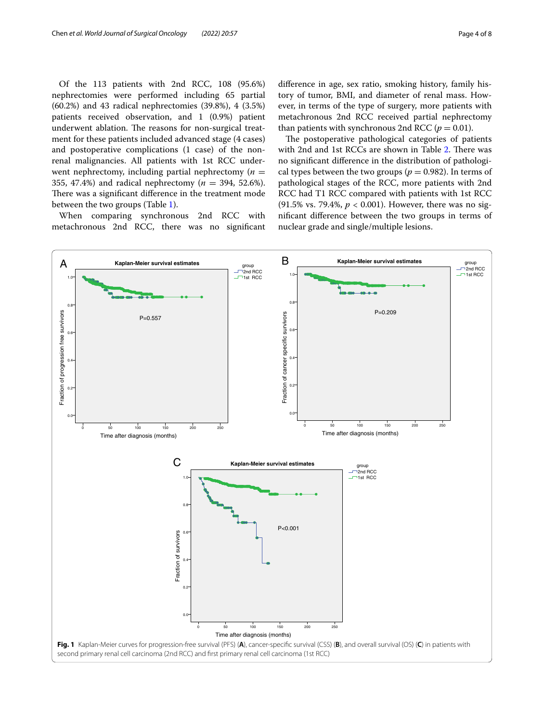Of the 113 patients with 2nd RCC, 108 (95.6%) nephrectomies were performed including 65 partial (60.2%) and 43 radical nephrectomies (39.8%), 4 (3.5%) patients received observation, and 1 (0.9%) patient underwent ablation. The reasons for non-surgical treatment for these patients included advanced stage (4 cases) and postoperative complications (1 case) of the nonrenal malignancies. All patients with 1st RCC underwent nephrectomy, including partial nephrectomy  $(n =$ 355, 47.4%) and radical nephrectomy (*n* = 394, 52.6%). There was a significant difference in the treatment mode between the two groups (Table [1\)](#page-2-0).

When comparing synchronous 2nd RCC with metachronous 2nd RCC, there was no signifcant diference in age, sex ratio, smoking history, family history of tumor, BMI, and diameter of renal mass. However, in terms of the type of surgery, more patients with metachronous 2nd RCC received partial nephrectomy than patients with synchronous 2nd RCC ( $p = 0.01$ ).

The postoperative pathological categories of patients with [2](#page-2-1)nd and 1st RCCs are shown in Table 2. There was no signifcant diference in the distribution of pathological types between the two groups ( $p = 0.982$ ). In terms of pathological stages of the RCC, more patients with 2nd RCC had T1 RCC compared with patients with 1st RCC (91.5% vs. 79.4%, *p* < 0.001). However, there was no signifcant diference between the two groups in terms of nuclear grade and single/multiple lesions.

<span id="page-3-0"></span>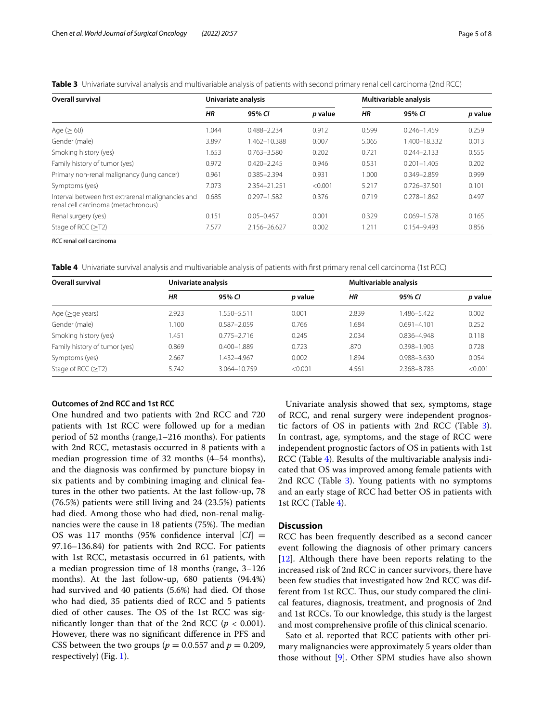<span id="page-4-0"></span>**Table 3** Univariate survival analysis and multivariable analysis of patients with second primary renal cell carcinoma (2nd RCC)

| Overall survival                                                                          | Univariate analysis |                 |         | Multivariable analysis |                 |         |
|-------------------------------------------------------------------------------------------|---------------------|-----------------|---------|------------------------|-----------------|---------|
|                                                                                           | HR                  | 95% CI          | p value | HR                     | 95% CI          | p value |
| Age $(≥ 60)$                                                                              | 1.044               | 0.488-2.234     | 0.912   | 0.599                  | $0.246 - 1.459$ | 0.259   |
| Gender (male)                                                                             | 3.897               | 1.462-10.388    | 0.007   | 5.065                  | 1.400-18.332    | 0.013   |
| Smoking history (yes)                                                                     | 1.653               | $0.763 - 3.580$ | 0.202   | 0.721                  | $0.244 - 2.133$ | 0.555   |
| Family history of tumor (yes)                                                             | 0.972               | $0.420 - 2.245$ | 0.946   | 0.531                  | $0.201 - 1.405$ | 0.202   |
| Primary non-renal malignancy (lung cancer)                                                | 0.961               | $0.385 - 2.394$ | 0.931   | 1.000                  | $0.349 - 2.859$ | 0.999   |
| Symptoms (yes)                                                                            | 7.073               | 2.354-21.251    | < 0.001 | 5.217                  | 0.726-37.501    | 0.101   |
| Interval between first extrarenal malignancies and<br>renal cell carcinoma (metachronous) | 0.685               | $0.297 - 1.582$ | 0.376   | 0.719                  | $0.278 - 1.862$ | 0.497   |
| Renal surgery (yes)                                                                       | 0.151               | $0.05 - 0.457$  | 0.001   | 0.329                  | $0.069 - 1.578$ | 0.165   |
| Stage of RCC (>T2)                                                                        | 7.577               | 2.156-26.627    | 0.002   | 1.211                  | 0.154-9.493     | 0.856   |

*RCC* renal cell carcinoma

<span id="page-4-1"></span>**Table 4** Univariate survival analysis and multivariable analysis of patients with frst primary renal cell carcinoma (1st RCC)

| <b>Overall survival</b>       | Univariate analysis |                 |         | Multivariable analysis |                 |         |
|-------------------------------|---------------------|-----------------|---------|------------------------|-----------------|---------|
|                               | HR                  | 95% CL          | p value | HR                     | 95% CI          | p value |
| Age $(\geq qe \text{ years})$ | 2.923               | 1.550–5.511     | 0.001   | 2.839                  | 1.486-5.422     | 0.002   |
| Gender (male)                 | 1.100               | $0.587 - 2.059$ | 0.766   | .684                   | $0.691 - 4.101$ | 0.252   |
| Smoking history (yes)         | .451                | $0.775 - 2.716$ | 0.245   | 2.034                  | 0.836-4.948     | 0.118   |
| Family history of tumor (yes) | 0.869               | $0.400 - 1.889$ | 0.723   | .870                   | $0.398 - 1.903$ | 0.728   |
| Symptoms (yes)                | 2.667               | 1.432-4.967     | 0.002   | .894                   | 0.988-3.630     | 0.054   |
| Stage of RCC $(\geq$ T2)      | 5.742               | 3.064-10.759    | < 0.001 | 4.561                  | 2.368-8.783     | < 0.001 |

## **Outcomes of 2nd RCC and 1st RCC**

One hundred and two patients with 2nd RCC and 720 patients with 1st RCC were followed up for a median period of 52 months (range,1–216 months). For patients with 2nd RCC, metastasis occurred in 8 patients with a median progression time of 32 months (4–54 months), and the diagnosis was confrmed by puncture biopsy in six patients and by combining imaging and clinical features in the other two patients. At the last follow-up, 78 (76.5%) patients were still living and 24 (23.5%) patients had died. Among those who had died, non-renal malignancies were the cause in  $18$  patients  $(75%)$ . The median OS was 117 months (95% confidence interval  $[CI] =$ 97.16–136.84) for patients with 2nd RCC. For patients with 1st RCC, metastasis occurred in 61 patients, with a median progression time of 18 months (range, 3–126 months). At the last follow-up, 680 patients (94.4%) had survived and 40 patients (5.6%) had died. Of those who had died, 35 patients died of RCC and 5 patients died of other causes. The OS of the 1st RCC was significantly longer than that of the 2nd RCC  $(p < 0.001)$ . However, there was no signifcant diference in PFS and CSS between the two groups ( $p = 0.0.557$  and  $p = 0.209$ , respectively) (Fig. [1\)](#page-3-0).

Univariate analysis showed that sex, symptoms, stage of RCC, and renal surgery were independent prognostic factors of OS in patients with 2nd RCC (Table [3](#page-4-0)). In contrast, age, symptoms, and the stage of RCC were independent prognostic factors of OS in patients with 1st RCC (Table [4](#page-4-1)). Results of the multivariable analysis indicated that OS was improved among female patients with 2nd RCC (Table [3\)](#page-4-0). Young patients with no symptoms and an early stage of RCC had better OS in patients with 1st RCC (Table [4\)](#page-4-1).

## **Discussion**

RCC has been frequently described as a second cancer event following the diagnosis of other primary cancers [[12\]](#page-7-1). Although there have been reports relating to the increased risk of 2nd RCC in cancer survivors, there have been few studies that investigated how 2nd RCC was different from 1st RCC. Thus, our study compared the clinical features, diagnosis, treatment, and prognosis of 2nd and 1st RCCs. To our knowledge, this study is the largest and most comprehensive profle of this clinical scenario.

Sato et al. reported that RCC patients with other primary malignancies were approximately 5 years older than those without [[9\]](#page-6-8). Other SPM studies have also shown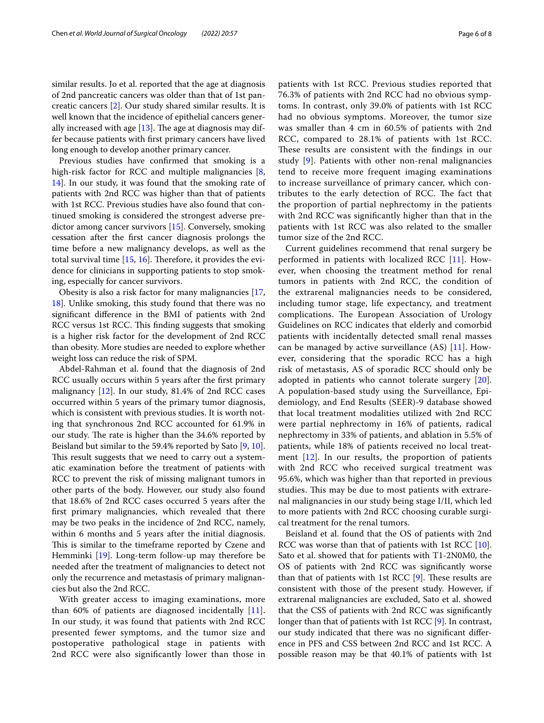similar results. Jo et al. reported that the age at diagnosis of 2nd pancreatic cancers was older than that of 1st pancreatic cancers [[2\]](#page-6-1). Our study shared similar results. It is well known that the incidence of epithelial cancers generally increased with age  $[13]$  $[13]$  $[13]$ . The age at diagnosis may differ because patients with frst primary cancers have lived long enough to develop another primary cancer.

Previous studies have confrmed that smoking is a high-risk factor for RCC and multiple malignancies [\[8](#page-6-7), [14\]](#page-7-3). In our study, it was found that the smoking rate of patients with 2nd RCC was higher than that of patients with 1st RCC. Previous studies have also found that continued smoking is considered the strongest adverse predictor among cancer survivors [[15\]](#page-7-4). Conversely, smoking cessation after the frst cancer diagnosis prolongs the time before a new malignancy develops, as well as the total survival time  $[15, 16]$  $[15, 16]$  $[15, 16]$  $[15, 16]$ . Therefore, it provides the evidence for clinicians in supporting patients to stop smoking, especially for cancer survivors.

Obesity is also a risk factor for many malignancies [\[17](#page-7-6), [18\]](#page-7-7). Unlike smoking, this study found that there was no signifcant diference in the BMI of patients with 2nd RCC versus 1st RCC. This finding suggests that smoking is a higher risk factor for the development of 2nd RCC than obesity. More studies are needed to explore whether weight loss can reduce the risk of SPM.

Abdel-Rahman et al. found that the diagnosis of 2nd RCC usually occurs within 5 years after the frst primary malignancy [[12\]](#page-7-1). In our study, 81.4% of 2nd RCC cases occurred within 5 years of the primary tumor diagnosis, which is consistent with previous studies. It is worth noting that synchronous 2nd RCC accounted for 61.9% in our study. The rate is higher than the 34.6% reported by Beisland but similar to the 59.4% reported by Sato [[9,](#page-6-8) [10](#page-6-9)]. This result suggests that we need to carry out a systematic examination before the treatment of patients with RCC to prevent the risk of missing malignant tumors in other parts of the body. However, our study also found that 18.6% of 2nd RCC cases occurred 5 years after the frst primary malignancies, which revealed that there may be two peaks in the incidence of 2nd RCC, namely, within 6 months and 5 years after the initial diagnosis. This is similar to the timeframe reported by Czene and Hemminki [[19\]](#page-7-8). Long-term follow-up may therefore be needed after the treatment of malignancies to detect not only the recurrence and metastasis of primary malignancies but also the 2nd RCC.

With greater access to imaging examinations, more than 60% of patients are diagnosed incidentally [[11\]](#page-7-0). In our study, it was found that patients with 2nd RCC presented fewer symptoms, and the tumor size and postoperative pathological stage in patients with 2nd RCC were also signifcantly lower than those in patients with 1st RCC. Previous studies reported that 76.3% of patients with 2nd RCC had no obvious symptoms. In contrast, only 39.0% of patients with 1st RCC had no obvious symptoms. Moreover, the tumor size was smaller than 4 cm in 60.5% of patients with 2nd RCC, compared to 28.1% of patients with 1st RCC. These results are consistent with the findings in our study [[9](#page-6-8)]. Patients with other non-renal malignancies tend to receive more frequent imaging examinations to increase surveillance of primary cancer, which contributes to the early detection of RCC. The fact that the proportion of partial nephrectomy in the patients with 2nd RCC was signifcantly higher than that in the patients with 1st RCC was also related to the smaller tumor size of the 2nd RCC.

Current guidelines recommend that renal surgery be performed in patients with localized RCC [\[11](#page-7-0)]. However, when choosing the treatment method for renal tumors in patients with 2nd RCC, the condition of the extrarenal malignancies needs to be considered, including tumor stage, life expectancy, and treatment complications. The European Association of Urology Guidelines on RCC indicates that elderly and comorbid patients with incidentally detected small renal masses can be managed by active surveillance (AS) [\[11](#page-7-0)]. However, considering that the sporadic RCC has a high risk of metastasis, AS of sporadic RCC should only be adopted in patients who cannot tolerate surgery [[20](#page-7-9)]. A population-based study using the Surveillance, Epidemiology, and End Results (SEER)-9 database showed that local treatment modalities utilized with 2nd RCC were partial nephrectomy in 16% of patients, radical nephrectomy in 33% of patients, and ablation in 5.5% of patients, while 18% of patients received no local treatment [[12\]](#page-7-1). In our results, the proportion of patients with 2nd RCC who received surgical treatment was 95.6%, which was higher than that reported in previous studies. This may be due to most patients with extrarenal malignancies in our study being stage I/II, which led to more patients with 2nd RCC choosing curable surgical treatment for the renal tumors.

Beisland et al. found that the OS of patients with 2nd RCC was worse than that of patients with 1st RCC [\[10](#page-6-9)]. Sato et al. showed that for patients with T1-2N0M0, the OS of patients with 2nd RCC was signifcantly worse than that of patients with 1st RCC  $[9]$  $[9]$ . These results are consistent with those of the present study. However, if extrarenal malignancies are excluded, Sato et al. showed that the CSS of patients with 2nd RCC was signifcantly longer than that of patients with 1st RCC [[9\]](#page-6-8). In contrast, our study indicated that there was no signifcant diference in PFS and CSS between 2nd RCC and 1st RCC. A possible reason may be that 40.1% of patients with 1st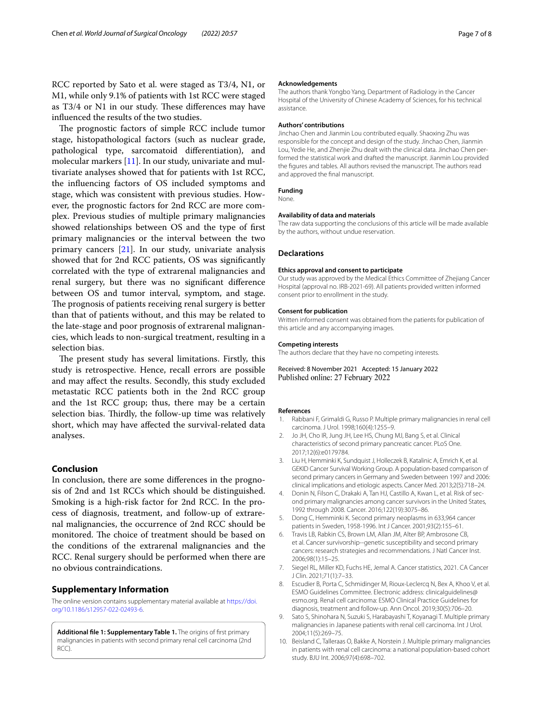RCC reported by Sato et al. were staged as T3/4, N1, or M1, while only 9.1% of patients with 1st RCC were staged as T3/4 or N1 in our study. These differences may have infuenced the results of the two studies.

The prognostic factors of simple RCC include tumor stage, histopathological factors (such as nuclear grade, pathological type, sarcomatoid diferentiation), and molecular markers [[11\]](#page-7-0). In our study, univariate and multivariate analyses showed that for patients with 1st RCC, the infuencing factors of OS included symptoms and stage, which was consistent with previous studies. However, the prognostic factors for 2nd RCC are more complex. Previous studies of multiple primary malignancies showed relationships between OS and the type of frst primary malignancies or the interval between the two primary cancers [[21\]](#page-7-10). In our study, univariate analysis showed that for 2nd RCC patients, OS was signifcantly correlated with the type of extrarenal malignancies and renal surgery, but there was no signifcant diference between OS and tumor interval, symptom, and stage. The prognosis of patients receiving renal surgery is better than that of patients without, and this may be related to the late-stage and poor prognosis of extrarenal malignancies, which leads to non-surgical treatment, resulting in a selection bias.

The present study has several limitations. Firstly, this study is retrospective. Hence, recall errors are possible and may afect the results. Secondly, this study excluded metastatic RCC patients both in the 2nd RCC group and the 1st RCC group; thus, there may be a certain selection bias. Thirdly, the follow-up time was relatively short, which may have afected the survival-related data analyses.

## **Conclusion**

In conclusion, there are some diferences in the prognosis of 2nd and 1st RCCs which should be distinguished. Smoking is a high-risk factor for 2nd RCC. In the process of diagnosis, treatment, and follow-up of extrarenal malignancies, the occurrence of 2nd RCC should be monitored. The choice of treatment should be based on the conditions of the extrarenal malignancies and the RCC. Renal surgery should be performed when there are no obvious contraindications.

#### **Supplementary Information**

The online version contains supplementary material available at [https://doi.](https://doi.org/10.1186/s12957-022-02493-6) [org/10.1186/s12957-022-02493-6](https://doi.org/10.1186/s12957-022-02493-6).

<span id="page-6-10"></span>**Additional fle 1: Supplementary Table 1.** The origins of frst primary malignancies in patients with second primary renal cell carcinoma (2nd RCC).

#### **Acknowledgements**

The authors thank Yongbo Yang, Department of Radiology in the Cancer Hospital of the University of Chinese Academy of Sciences, for his technical assistance.

#### **Authors' contributions**

Jinchao Chen and Jianmin Lou contributed equally. Shaoxing Zhu was responsible for the concept and design of the study. Jinchao Chen, Jianmin Lou, Yedie He, and Zhenjie Zhu dealt with the clinical data. Jinchao Chen performed the statistical work and drafted the manuscript. Jianmin Lou provided the fgures and tables. All authors revised the manuscript. The authors read and approved the fnal manuscript.

#### **Funding**

None.

#### **Availability of data and materials**

The raw data supporting the conclusions of this article will be made available by the authors, without undue reservation.

#### **Declarations**

#### **Ethics approval and consent to participate**

Our study was approved by the Medical Ethics Committee of Zhejiang Cancer Hospital (approval no. IRB-2021-69). All patients provided written informed consent prior to enrollment in the study.

#### **Consent for publication**

Written informed consent was obtained from the patients for publication of this article and any accompanying images.

#### **Competing interests**

The authors declare that they have no competing interests.

Received: 8 November 2021 Accepted: 15 January 2022 Published online: 27 February 2022

#### **References**

- <span id="page-6-0"></span>1. Rabbani F, Grimaldi G, Russo P. Multiple primary malignancies in renal cell carcinoma. J Urol. 1998;160(4):1255–9.
- <span id="page-6-1"></span>2. Jo JH, Cho IR, Jung JH, Lee HS, Chung MJ, Bang S, et al. Clinical characteristics of second primary pancreatic cancer. PLoS One. 2017;12(6):e0179784.
- <span id="page-6-2"></span>3. Liu H, Hemminki K, Sundquist J, Holleczek B, Katalinic A, Emrich K, et al. GEKID Cancer Survival Working Group. A population-based comparison of second primary cancers in Germany and Sweden between 1997 and 2006: clinical implications and etiologic aspects. Cancer Med. 2013;2(5):718–24.
- <span id="page-6-3"></span>4. Donin N, Filson C, Drakaki A, Tan HJ, Castillo A, Kwan L, et al. Risk of second primary malignancies among cancer survivors in the United States, 1992 through 2008. Cancer. 2016;122(19):3075–86.
- <span id="page-6-4"></span>5. Dong C, Hemminki K. Second primary neoplasms in 633,964 cancer patients in Sweden, 1958-1996. Int J Cancer. 2001;93(2):155–61.
- <span id="page-6-5"></span>6. Travis LB, Rabkin CS, Brown LM, Allan JM, Alter BP, Ambrosone CB, et al. Cancer survivorship--genetic susceptibility and second primary cancers: research strategies and recommendations. J Natl Cancer Inst. 2006;98(1):15–25.
- <span id="page-6-6"></span>7. Siegel RL, Miller KD, Fuchs HE, Jemal A. Cancer statistics, 2021. CA Cancer J Clin. 2021;71(1):7–33.
- <span id="page-6-7"></span>8. Escudier B, Porta C, Schmidinger M, Rioux-Leclercq N, Bex A, Khoo V, et al. ESMO Guidelines Committee. Electronic address: clinicalguidelines@ esmo.org. Renal cell carcinoma: ESMO Clinical Practice Guidelines for diagnosis, treatment and follow-up. Ann Oncol. 2019;30(5):706–20.
- <span id="page-6-8"></span>9. Sato S, Shinohara N, Suzuki S, Harabayashi T, Koyanagi T. Multiple primary malignancies in Japanese patients with renal cell carcinoma. Int J Urol. 2004;11(5):269–75.
- <span id="page-6-9"></span>10. Beisland C, Talleraas O, Bakke A, Norstein J. Multiple primary malignancies in patients with renal cell carcinoma: a national population-based cohort study. BJU Int. 2006;97(4):698–702.